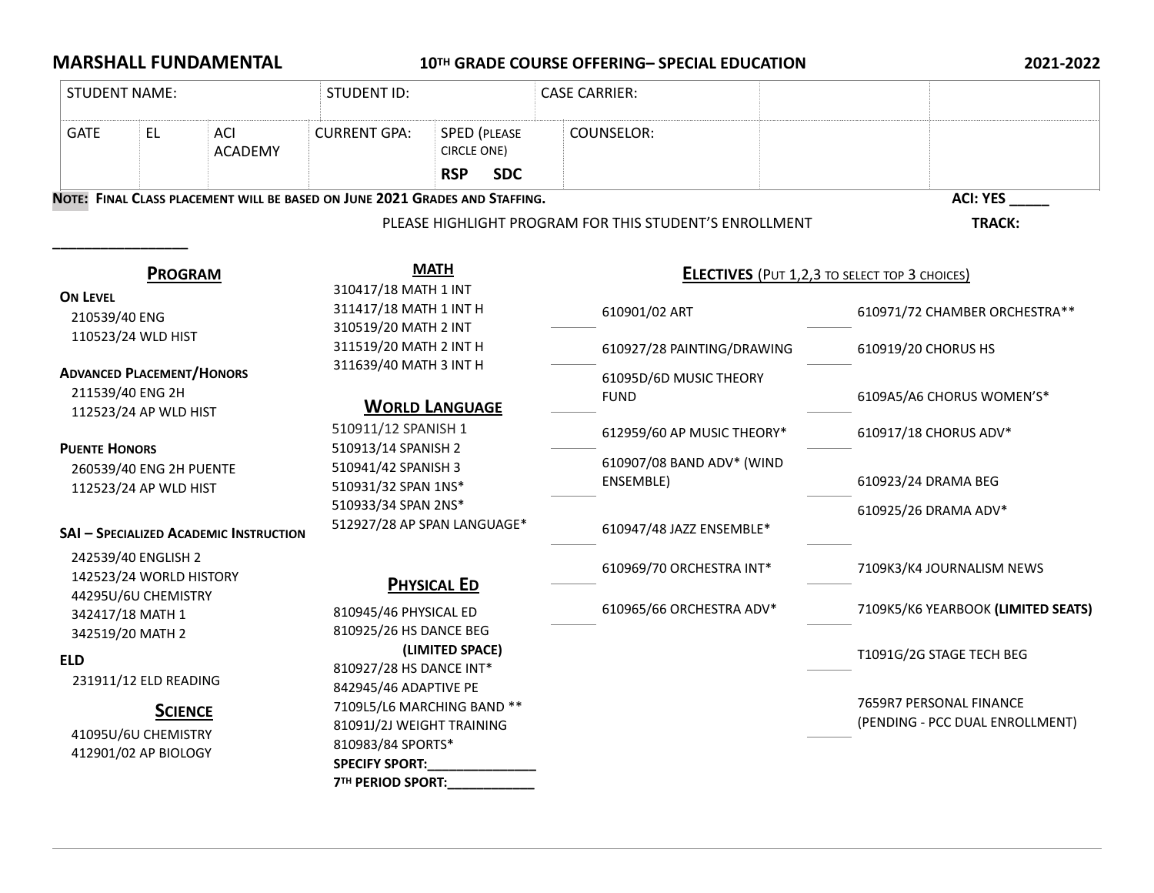## **MARSHALL FUNDAMENTAL 10TH GRADE COURSE OFFERING– SPECIAL EDUCATION 2021-2022**

| <b>STUDENT NAME:</b>                                                                                                      |     |                       | <b>STUDENT ID:</b>                                                                                                                             |                                                                |  | <b>CASE CARRIER:</b>                                   |  |                                    |                                                            |
|---------------------------------------------------------------------------------------------------------------------------|-----|-----------------------|------------------------------------------------------------------------------------------------------------------------------------------------|----------------------------------------------------------------|--|--------------------------------------------------------|--|------------------------------------|------------------------------------------------------------|
| <b>GATE</b>                                                                                                               | EL. | ACI<br><b>ACADEMY</b> | <b>CURRENT GPA:</b>                                                                                                                            | <b>SPED (PLEASE</b><br>CIRCLE ONE)<br><b>RSP</b><br><b>SDC</b> |  | COUNSELOR:                                             |  |                                    |                                                            |
| NOTE: FINAL CLASS PLACEMENT WILL BE BASED ON JUNE 2021 GRADES AND STAFFING.                                               |     |                       |                                                                                                                                                |                                                                |  |                                                        |  |                                    | <b>ACI: YES</b>                                            |
|                                                                                                                           |     |                       |                                                                                                                                                |                                                                |  | PLEASE HIGHLIGHT PROGRAM FOR THIS STUDENT'S ENROLLMENT |  |                                    | TRACK:                                                     |
| <b>PROGRAM</b><br><b>ON LEVEL</b><br>210539/40 ENG<br>110523/24 WLD HIST                                                  |     |                       | <b>MATH</b><br>310417/18 MATH 1 INT<br>311417/18 MATH 1 INT H<br>310519/20 MATH 2 INT<br>311519/20 MATH 2 INT H                                |                                                                |  | <b>ELECTIVES</b> (PUT 1,2,3 TO SELECT TOP 3 CHOICES)   |  |                                    |                                                            |
|                                                                                                                           |     |                       |                                                                                                                                                |                                                                |  | 610901/02 ART                                          |  | 610971/72 CHAMBER ORCHESTRA**      |                                                            |
|                                                                                                                           |     |                       |                                                                                                                                                |                                                                |  | 610927/28 PAINTING/DRAWING                             |  | 610919/20 CHORUS HS                |                                                            |
| <b>ADVANCED PLACEMENT/HONORS</b><br>211539/40 ENG 2H<br>112523/24 AP WLD HIST                                             |     |                       | 311639/40 MATH 3 INT H<br><b>WORLD LANGUAGE</b>                                                                                                |                                                                |  | 61095D/6D MUSIC THEORY<br><b>FUND</b>                  |  | 6109A5/A6 CHORUS WOMEN'S*          |                                                            |
|                                                                                                                           |     |                       | 510911/12 SPANISH 1<br>510913/14 SPANISH 2<br>510941/42 SPANISH 3<br>510931/32 SPAN 1NS*<br>510933/34 SPAN 2NS*<br>512927/28 AP SPAN LANGUAGE* |                                                                |  | 612959/60 AP MUSIC THEORY*                             |  | 610917/18 CHORUS ADV*              |                                                            |
| <b>PUENTE HONORS</b><br>260539/40 ENG 2H PUENTE<br>112523/24 AP WLD HIST<br><b>SAI - SPECIALIZED ACADEMIC INSTRUCTION</b> |     |                       |                                                                                                                                                |                                                                |  | 610907/08 BAND ADV* (WIND<br>ENSEMBLE)                 |  | 610923/24 DRAMA BEG                |                                                            |
|                                                                                                                           |     |                       |                                                                                                                                                |                                                                |  | 610947/48 JAZZ ENSEMBLE*                               |  | 610925/26 DRAMA ADV*               |                                                            |
| 242539/40 ENGLISH 2<br>142523/24 WORLD HISTORY<br>44295U/6U CHEMISTRY<br>342417/18 MATH 1<br>342519/20 MATH 2             |     |                       | <b>PHYSICAL ED</b><br>810945/46 PHYSICAL ED<br>810925/26 HS DANCE BEG<br>(LIMITED SPACE)<br>810927/28 HS DANCE INT*<br>842945/46 ADAPTIVE PE   |                                                                |  | 610969/70 ORCHESTRA INT*                               |  | 7109K3/K4 JOURNALISM NEWS          |                                                            |
|                                                                                                                           |     |                       |                                                                                                                                                |                                                                |  | 610965/66 ORCHESTRA ADV*                               |  | 7109K5/K6 YEARBOOK (LIMITED SEATS) |                                                            |
| <b>ELD</b><br>231911/12 ELD READING                                                                                       |     |                       |                                                                                                                                                |                                                                |  |                                                        |  |                                    | T1091G/2G STAGE TECH BEG                                   |
| <b>SCIENCE</b><br>41095U/6U CHEMISTRY<br>412901/02 AP BIOLOGY                                                             |     |                       | 7109L5/L6 MARCHING BAND **<br>81091J/2J WEIGHT TRAINING<br>810983/84 SPORTS*<br><b>SPECIFY SPORT:</b><br><b>7TH PERIOD SPORT:</b>              |                                                                |  |                                                        |  |                                    | 7659R7 PERSONAL FINANCE<br>(PENDING - PCC DUAL ENROLLMENT) |